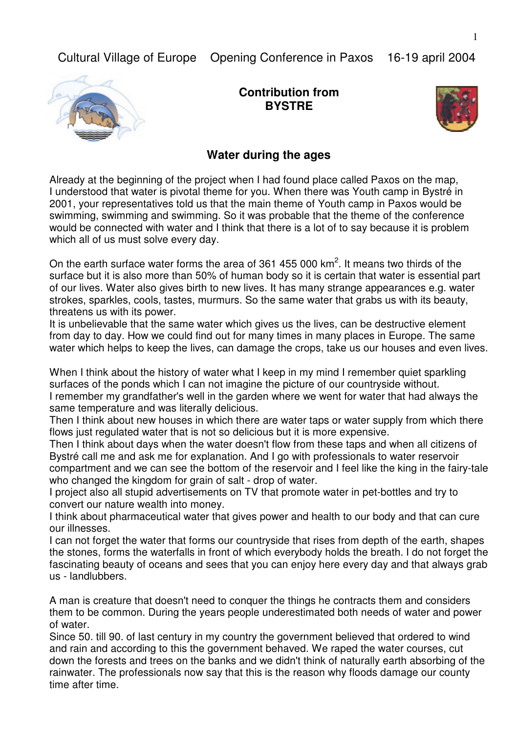

**Contribution from BYSTRE**



## **Water during the ages**

Already at the beginning of the project when I had found place called Paxos on the map, I understood that water is pivotal theme for you. When there was Youth camp in Bystré in 2001, your representatives told us that the main theme of Youth camp in Paxos would be swimming, swimming and swimming. So it was probable that the theme of the conference would be connected with water and I think that there is a lot of to say because it is problem which all of us must solve every day.

On the earth surface water forms the area of 361 455 000  $km^2$ . It means two thirds of the surface but it is also more than 50% of human body so it is certain that water is essential part of our lives. Water also gives birth to new lives. It has many strange appearances e.g. water strokes, sparkles, cools, tastes, murmurs. So the same water that grabs us with its beauty, threatens us with its power.

It is unbelievable that the same water which gives us the lives, can be destructive element from day to day. How we could find out for many times in many places in Europe. The same water which helps to keep the lives, can damage the crops, take us our houses and even lives.

When I think about the history of water what I keep in my mind I remember quiet sparkling surfaces of the ponds which I can not imagine the picture of our countryside without. I remember my grandfather's well in the garden where we went for water that had always the same temperature and was literally delicious.

Then I think about new houses in which there are water taps or water supply from which there flows just regulated water that is not so delicious but it is more expensive.

Then I think about days when the water doesn't flow from these taps and when all citizens of Bystré call me and ask me for explanation. And I go with professionals to water reservoir compartment and we can see the bottom of the reservoir and I feel like the king in the fairy-tale who changed the kingdom for grain of salt - drop of water.

I project also all stupid advertisements on TV that promote water in pet-bottles and try to convert our nature wealth into money.

I think about pharmaceutical water that gives power and health to our body and that can cure our illnesses.

I can not forget the water that forms our countryside that rises from depth of the earth, shapes the stones, forms the waterfalls in front of which everybody holds the breath. I do not forget the fascinating beauty of oceans and sees that you can enjoy here every day and that always grab us - landlubbers.

A man is creature that doesn't need to conquer the things he contracts them and considers them to be common. During the years people underestimated both needs of water and power of water.

Since 50. till 90. of last century in my country the government believed that ordered to wind and rain and according to this the government behaved. We raped the water courses, cut down the forests and trees on the banks and we didn't think of naturally earth absorbing of the rainwater. The professionals now say that this is the reason why floods damage our county time after time.